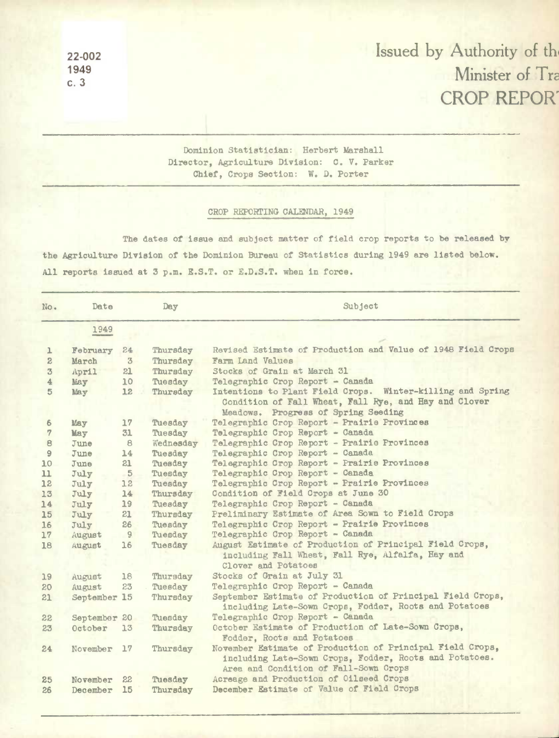**1949** 

## **22-002** Issued by Authority of th **c. 3** Minister of Tr CROP REPOR'

Dominion Statistician: Herbert Marshall Director, Agriculture Division: C. V. Parker Chief, Crops Section: W. D. Porter

## CROP REPORTING CALENDAR, 1949

The dates of **issue** and subject matter of field crop reports to be released by the Agriculture **Division** of the Dominion Bureau of Statistics during 1949 are listed below. All reports issued at 3 p.m. R.S.T. or E.D.S.T. when *In* **force.** 

| No.            | Date         |          | Day       | Subject                                                                                                                                                      |
|----------------|--------------|----------|-----------|--------------------------------------------------------------------------------------------------------------------------------------------------------------|
|                | 1949         |          |           |                                                                                                                                                              |
| ı              | February     | 24       | Thursday  | Revised Estimate of Production and Value of 1948 Field Crops                                                                                                 |
| $\mathbf{2}$   | March        | 3        | Thursday  | Farm Land Values                                                                                                                                             |
| $\mathfrak{B}$ | April        | 21       | Thursday  | Stocks of Grain at March 31                                                                                                                                  |
| 4              | May          | 10       | Tuesday   | Telegraphic Crop Report - Canada                                                                                                                             |
| $5\phantom{.}$ | May          | 12       | Thursday  | Intentions to Plant Field Crops. Winter-killing and Spring<br>Condition of Fall Wheat, Fall Rye, and Hay and Clover<br>Meadows. Progress of Spring Seeding   |
| 6              | May          | 17       | Tuesday   | Telegraphic Crop Report - Prairie Provinces                                                                                                                  |
| 7              | May          | 31       | Tuesday   | Telegraphic Crop Report - Canada                                                                                                                             |
| 8              | June         | <b>B</b> | Wednesday | Telegraphic Crop Report - Prairie Provinces                                                                                                                  |
| 9              | June         | 14       | Tuesday   | Telegraphic Crop Report - Canada                                                                                                                             |
| 10             | June         | 21       | Tuesday   | Telegraphic Crop Report - Prairie Provinces                                                                                                                  |
| 11             | July         | $-5$     | Tuesday   | Telegraphic Crop Report - Canada                                                                                                                             |
| 12             | July         | 12       | Tuesday   | Telegraphic Crop Report - Prairie Provinces                                                                                                                  |
| 13             | July         | 14       | Thursday  | Condition of Field Crops at June 30                                                                                                                          |
| 14             | July         | 19       | Tuesday   | Telegraphic Crop Report - Canada                                                                                                                             |
| 15             | July         | 21       | Thursday  | Preliminary Estimate of Area Sown to Field Crops                                                                                                             |
| 16             | July         | 26       | Tuesday   | Telegraphic Crop Report - Prairie Provinces                                                                                                                  |
| 17             | August       | 9        | Tuesday   | Telegraphic Crop Report - Canada                                                                                                                             |
| 18             | August       | 16       | Tuesday   | August Estimate of Production of Principal Field Crops,<br>including Fall Wheat, Fall Rye, Alfalfa, Hay and<br>Clover and Potatoes                           |
| 19             | August       | 18       | Thursday  | Stocks of Grain at July 31                                                                                                                                   |
| 20             | August       | 23       | Tuesday   | Telegraphic Crop Report - Canada                                                                                                                             |
| 21             | September    | 15       | Thursday  | September Estimate of Production of Principal Field Crops,<br>including Late-Sown Crops, Fodder, Roots and Potatoes                                          |
| 22             | September 20 |          | Tuesday   | Telegraphic Crop Report - Canada                                                                                                                             |
| 23             | October      | 13       | Thursday  | October Estimate of Production of Late-Sown Crops,<br>Fodder, Roots and Potatoes                                                                             |
| 24             | November     | 17       | Thursday  | November Estimate of Production of Principal Field Crops,<br>including Late-Sown Crops, Fodder, Roots and Potatoes.<br>Area and Condition of Fall-Sown Crops |
| 25             | November     | 22       | Tuesday   | Acreage and Production of Oilseed Crops                                                                                                                      |
| 26             | December     | 15       | Thursday  | December Estimate of Value of Field Crops                                                                                                                    |